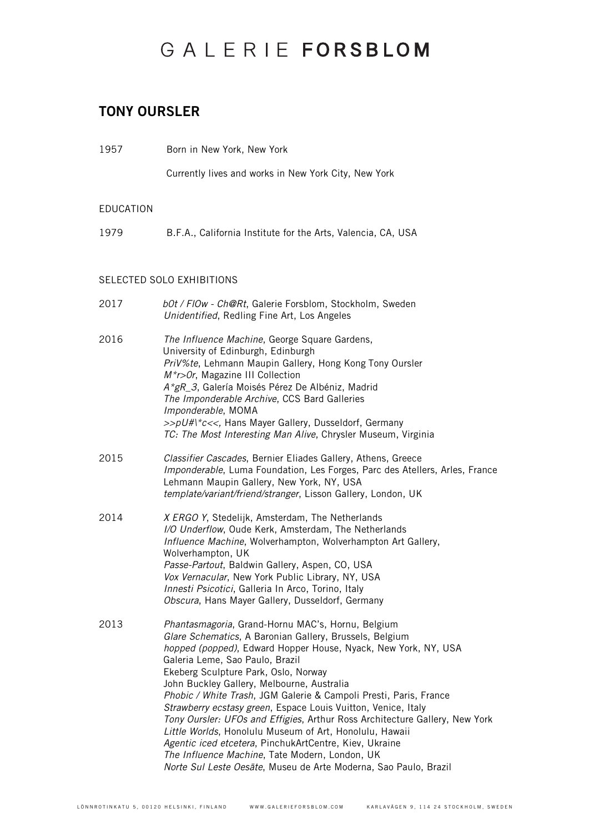#### TONY OURSLER

1957 Born in New York, New York

Currently lives and works in New York City, New York

#### EDUCATION

1979 B.F.A., California Institute for the Arts, Valencia, CA, USA

#### SELECTED SOLO EXHIBITIONS

| 2017 | bOt / FIOw - Ch@Rt, Galerie Forsblom, Stockholm, Sweden<br>Unidentified, Redling Fine Art, Los Angeles                                                                                                                                                                                                                                                                                                                                                                                                                                                                                                                                                                                                                                                                  |
|------|-------------------------------------------------------------------------------------------------------------------------------------------------------------------------------------------------------------------------------------------------------------------------------------------------------------------------------------------------------------------------------------------------------------------------------------------------------------------------------------------------------------------------------------------------------------------------------------------------------------------------------------------------------------------------------------------------------------------------------------------------------------------------|
| 2016 | The Influence Machine, George Square Gardens,<br>University of Edinburgh, Edinburgh<br>PriV%te, Lehmann Maupin Gallery, Hong Kong Tony Oursler<br>M*r>Or, Magazine III Collection<br>A*gR_3, Galería Moisés Pérez De Albéniz, Madrid<br>The Imponderable Archive, CCS Bard Galleries<br>Imponderable, MOMA<br>>>pU#I*c<<, Hans Mayer Gallery, Dusseldorf, Germany<br>TC: The Most Interesting Man Alive, Chrysler Museum, Virginia                                                                                                                                                                                                                                                                                                                                      |
| 2015 | Classifier Cascades, Bernier Eliades Gallery, Athens, Greece<br>Imponderable, Luma Foundation, Les Forges, Parc des Atellers, Arles, France<br>Lehmann Maupin Gallery, New York, NY, USA<br>template/variant/friend/stranger, Lisson Gallery, London, UK                                                                                                                                                                                                                                                                                                                                                                                                                                                                                                                |
| 2014 | X ERGO Y, Stedelijk, Amsterdam, The Netherlands<br>I/O Underflow, Oude Kerk, Amsterdam, The Netherlands<br>Influence Machine, Wolverhampton, Wolverhampton Art Gallery,<br>Wolverhampton, UK<br>Passe-Partout, Baldwin Gallery, Aspen, CO, USA<br>Vox Vernacular, New York Public Library, NY, USA<br>Innesti Psicotici, Galleria In Arco, Torino, Italy<br>Obscura, Hans Mayer Gallery, Dusseldorf, Germany                                                                                                                                                                                                                                                                                                                                                            |
| 2013 | Phantasmagoria, Grand-Hornu MAC's, Hornu, Belgium<br>Glare Schematics, A Baronian Gallery, Brussels, Belgium<br>hopped (popped), Edward Hopper House, Nyack, New York, NY, USA<br>Galeria Leme, Sao Paulo, Brazil<br>Ekeberg Sculpture Park, Oslo, Norway<br>John Buckley Gallery, Melbourne, Australia<br>Phobic / White Trash, JGM Galerie & Campoli Presti, Paris, France<br>Strawberry ecstasy green, Espace Louis Vuitton, Venice, Italy<br>Tony Oursler: UFOs and Effigies, Arthur Ross Architecture Gallery, New York<br>Little Worlds, Honolulu Museum of Art, Honolulu, Hawaii<br>Agentic iced etcetera, PinchukArtCentre, Kiev, Ukraine<br>The Influence Machine, Tate Modern, London, UK<br>Norte Sul Leste Oesäte, Museu de Arte Moderna, Sao Paulo, Brazil |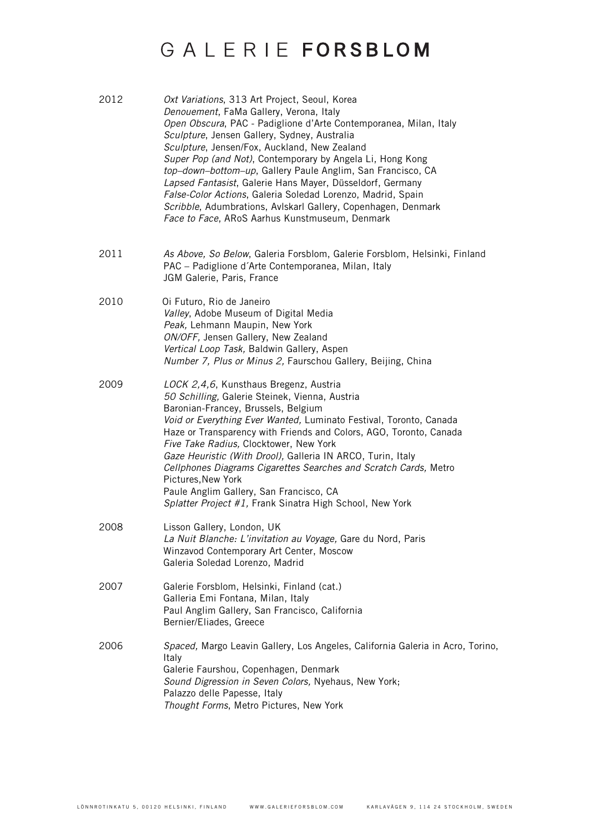| 2012 | Oxt Variations, 313 Art Project, Seoul, Korea<br>Denouement, FaMa Gallery, Verona, Italy<br>Open Obscura, PAC - Padiglione d'Arte Contemporanea, Milan, Italy<br>Sculpture, Jensen Gallery, Sydney, Australia<br>Sculpture, Jensen/Fox, Auckland, New Zealand<br>Super Pop (and Not), Contemporary by Angela Li, Hong Kong<br>top-down-bottom-up, Gallery Paule Anglim, San Francisco, CA<br>Lapsed Fantasist, Galerie Hans Mayer, Düsseldorf, Germany<br>False-Color Actions, Galeria Soledad Lorenzo, Madrid, Spain<br>Scribble, Adumbrations, Avlskarl Gallery, Copenhagen, Denmark<br>Face to Face, ARoS Aarhus Kunstmuseum, Denmark |
|------|------------------------------------------------------------------------------------------------------------------------------------------------------------------------------------------------------------------------------------------------------------------------------------------------------------------------------------------------------------------------------------------------------------------------------------------------------------------------------------------------------------------------------------------------------------------------------------------------------------------------------------------|
| 2011 | As Above, So Below, Galeria Forsblom, Galerie Forsblom, Helsinki, Finland<br>PAC - Padiglione d'Arte Contemporanea, Milan, Italy<br>JGM Galerie, Paris, France                                                                                                                                                                                                                                                                                                                                                                                                                                                                           |
| 2010 | Oi Futuro, Rio de Janeiro<br>Valley, Adobe Museum of Digital Media<br>Peak, Lehmann Maupin, New York<br>ON/OFF, Jensen Gallery, New Zealand<br>Vertical Loop Task, Baldwin Gallery, Aspen<br>Number 7, Plus or Minus 2, Faurschou Gallery, Beijing, China                                                                                                                                                                                                                                                                                                                                                                                |
| 2009 | LOCK 2,4,6, Kunsthaus Bregenz, Austria<br>50 Schilling, Galerie Steinek, Vienna, Austria<br>Baronian-Francey, Brussels, Belgium<br>Void or Everything Ever Wanted, Luminato Festival, Toronto, Canada<br>Haze or Transparency with Friends and Colors, AGO, Toronto, Canada<br>Five Take Radius, Clocktower, New York<br>Gaze Heuristic (With Drool), Galleria IN ARCO, Turin, Italy<br>Cellphones Diagrams Cigarettes Searches and Scratch Cards, Metro<br>Pictures, New York<br>Paule Anglim Gallery, San Francisco, CA<br>Splatter Project #1, Frank Sinatra High School, New York                                                    |
| 2008 | Lisson Gallery, London, UK<br>La Nuit Blanche: L'invitation au Voyage, Gare du Nord, Paris<br>Winzavod Contemporary Art Center, Moscow<br>Galeria Soledad Lorenzo, Madrid                                                                                                                                                                                                                                                                                                                                                                                                                                                                |
| 2007 | Galerie Forsblom, Helsinki, Finland (cat.)<br>Galleria Emi Fontana, Milan, Italy<br>Paul Anglim Gallery, San Francisco, California<br>Bernier/Eliades, Greece                                                                                                                                                                                                                                                                                                                                                                                                                                                                            |
| 2006 | Spaced, Margo Leavin Gallery, Los Angeles, California Galeria in Acro, Torino,<br>Italy<br>Galerie Faurshou, Copenhagen, Denmark<br>Sound Digression in Seven Colors, Nyehaus, New York;<br>Palazzo delle Papesse, Italy<br>Thought Forms, Metro Pictures, New York                                                                                                                                                                                                                                                                                                                                                                      |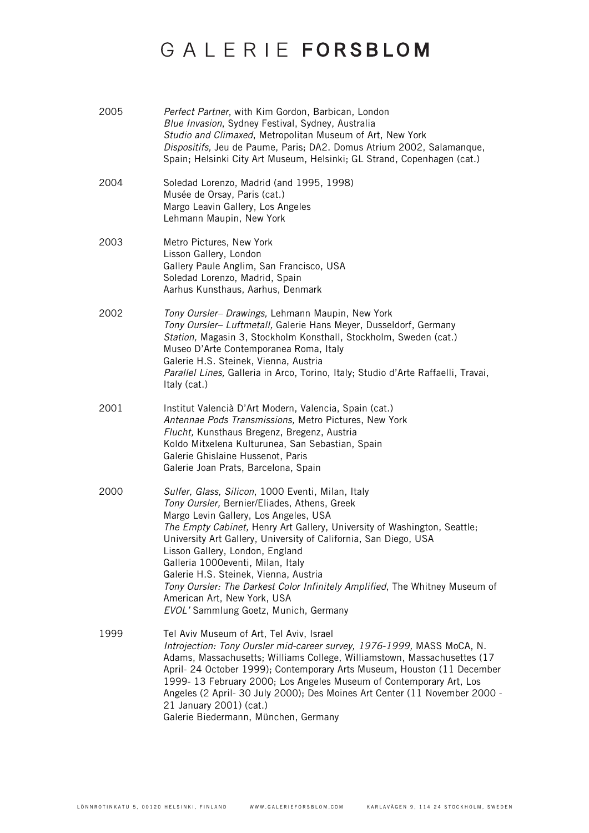| 2005 | Perfect Partner, with Kim Gordon, Barbican, London<br>Blue Invasion, Sydney Festival, Sydney, Australia<br>Studio and Climaxed, Metropolitan Museum of Art, New York<br>Dispositifs, Jeu de Paume, Paris; DA2. Domus Atrium 2002, Salamanque,<br>Spain; Helsinki City Art Museum, Helsinki; GL Strand, Copenhagen (cat.)                                                                                                                                                                                                                                           |
|------|--------------------------------------------------------------------------------------------------------------------------------------------------------------------------------------------------------------------------------------------------------------------------------------------------------------------------------------------------------------------------------------------------------------------------------------------------------------------------------------------------------------------------------------------------------------------|
| 2004 | Soledad Lorenzo, Madrid (and 1995, 1998)<br>Musée de Orsay, Paris (cat.)<br>Margo Leavin Gallery, Los Angeles<br>Lehmann Maupin, New York                                                                                                                                                                                                                                                                                                                                                                                                                          |
| 2003 | Metro Pictures, New York<br>Lisson Gallery, London<br>Gallery Paule Anglim, San Francisco, USA<br>Soledad Lorenzo, Madrid, Spain<br>Aarhus Kunsthaus, Aarhus, Denmark                                                                                                                                                                                                                                                                                                                                                                                              |
| 2002 | Tony Oursler- Drawings, Lehmann Maupin, New York<br>Tony Oursler- Luftmetall, Galerie Hans Meyer, Dusseldorf, Germany<br>Station, Magasin 3, Stockholm Konsthall, Stockholm, Sweden (cat.)<br>Museo D'Arte Contemporanea Roma, Italy<br>Galerie H.S. Steinek, Vienna, Austria<br>Parallel Lines, Galleria in Arco, Torino, Italy; Studio d'Arte Raffaelli, Travai,<br>Italy (cat.)                                                                                                                                                                                 |
| 2001 | Institut Valencià D'Art Modern, Valencia, Spain (cat.)<br>Antennae Pods Transmissions, Metro Pictures, New York<br>Flucht, Kunsthaus Bregenz, Bregenz, Austria<br>Koldo Mitxelena Kulturunea, San Sebastian, Spain<br>Galerie Ghislaine Hussenot, Paris<br>Galerie Joan Prats, Barcelona, Spain                                                                                                                                                                                                                                                                    |
| 2000 | Sulfer, Glass, Silicon, 1000 Eventi, Milan, Italy<br>Tony Oursler, Bernier/Eliades, Athens, Greek<br>Margo Levin Gallery, Los Angeles, USA<br>The Empty Cabinet, Henry Art Gallery, University of Washington, Seattle;<br>University Art Gallery, University of California, San Diego, USA<br>Lisson Gallery, London, England<br>Galleria 1000eventi, Milan, Italy<br>Galerie H.S. Steinek, Vienna, Austria<br>Tony Oursler: The Darkest Color Infinitely Amplified, The Whitney Museum of<br>American Art, New York, USA<br>EVOL' Sammlung Goetz, Munich, Germany |
| 1999 | Tel Aviv Museum of Art, Tel Aviv, Israel<br>Introjection: Tony Oursler mid-career survey, 1976-1999, MASS MoCA, N.<br>Adams, Massachusetts; Williams College, Williamstown, Massachusettes (17<br>April- 24 October 1999); Contemporary Arts Museum, Houston (11 December<br>1999-13 February 2000; Los Angeles Museum of Contemporary Art, Los<br>Angeles (2 April- 30 July 2000); Des Moines Art Center (11 November 2000 -<br>21 January 2001) (cat.)<br>Galerie Biedermann, München, Germany                                                                   |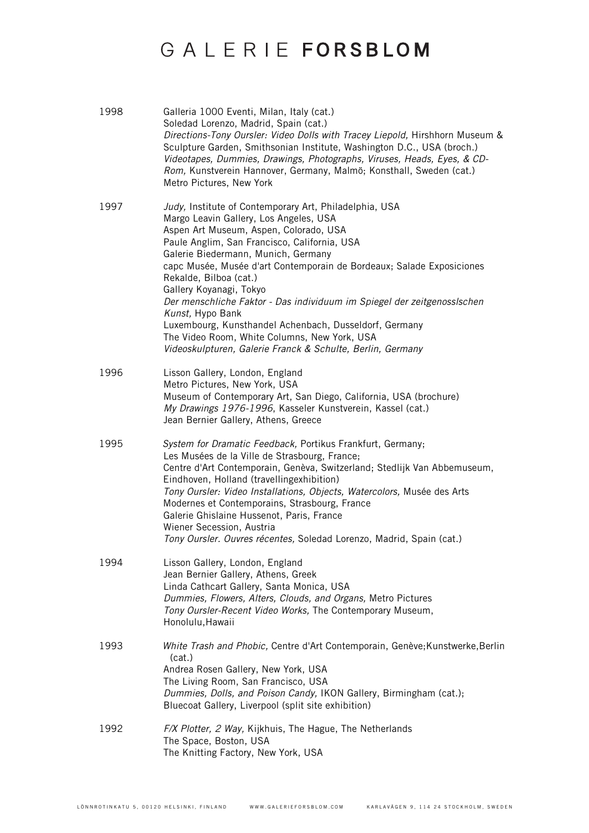| 1998 | Galleria 1000 Eventi, Milan, Italy (cat.)<br>Soledad Lorenzo, Madrid, Spain (cat.)<br>Directions-Tony Oursler: Video Dolls with Tracey Liepold, Hirshhorn Museum &<br>Sculpture Garden, Smithsonian Institute, Washington D.C., USA (broch.)<br>Videotapes, Dummies, Drawings, Photographs, Viruses, Heads, Eyes, & CD-<br>Rom, Kunstverein Hannover, Germany, Malmö; Konsthall, Sweden (cat.)<br>Metro Pictures, New York                                                                                                                                                                                                             |
|------|----------------------------------------------------------------------------------------------------------------------------------------------------------------------------------------------------------------------------------------------------------------------------------------------------------------------------------------------------------------------------------------------------------------------------------------------------------------------------------------------------------------------------------------------------------------------------------------------------------------------------------------|
| 1997 | Judy, Institute of Contemporary Art, Philadelphia, USA<br>Margo Leavin Gallery, Los Angeles, USA<br>Aspen Art Museum, Aspen, Colorado, USA<br>Paule Anglim, San Francisco, California, USA<br>Galerie Biedermann, Munich, Germany<br>capc Musée, Musée d'art Contemporain de Bordeaux; Salade Exposiciones<br>Rekalde, Bilboa (cat.)<br>Gallery Koyanagi, Tokyo<br>Der menschliche Faktor - Das individuum im Spiegel der zeitgenosslschen<br>Kunst, Hypo Bank<br>Luxembourg, Kunsthandel Achenbach, Dusseldorf, Germany<br>The Video Room, White Columns, New York, USA<br>Videoskulpturen, Galerie Franck & Schulte, Berlin, Germany |
| 1996 | Lisson Gallery, London, England<br>Metro Pictures, New York, USA<br>Museum of Contemporary Art, San Diego, California, USA (brochure)<br>My Drawings 1976-1996, Kasseler Kunstverein, Kassel (cat.)<br>Jean Bernier Gallery, Athens, Greece                                                                                                                                                                                                                                                                                                                                                                                            |
| 1995 | System for Dramatic Feedback, Portikus Frankfurt, Germany;<br>Les Musées de la Ville de Strasbourg, France;<br>Centre d'Art Contemporain, Genèva, Switzerland; Stedlijk Van Abbemuseum,<br>Eindhoven, Holland (travellingexhibition)<br>Tony Oursler: Video Installations, Objects, Watercolors, Musée des Arts<br>Modernes et Contemporains, Strasbourg, France<br>Galerie Ghislaine Hussenot, Paris, France<br>Wiener Secession, Austria<br>Tony Oursler. Ouvres récentes, Soledad Lorenzo, Madrid, Spain (cat.)                                                                                                                     |
| 1994 | Lisson Gallery, London, England<br>Jean Bernier Gallery, Athens, Greek<br>Linda Cathcart Gallery, Santa Monica, USA<br>Dummies, Flowers, Alters, Clouds, and Organs, Metro Pictures<br>Tony Oursler-Recent Video Works, The Contemporary Museum,<br>Honolulu, Hawaii                                                                                                                                                                                                                                                                                                                                                                   |
| 1993 | White Trash and Phobic, Centre d'Art Contemporain, Genève; Kunstwerke, Berlin<br>(cat.)<br>Andrea Rosen Gallery, New York, USA<br>The Living Room, San Francisco, USA<br>Dummies, Dolls, and Poison Candy, IKON Gallery, Birmingham (cat.);<br>Bluecoat Gallery, Liverpool (split site exhibition)                                                                                                                                                                                                                                                                                                                                     |
| 1992 | F/X Plotter, 2 Way, Kijkhuis, The Hague, The Netherlands<br>The Space, Boston, USA<br>The Knitting Factory, New York, USA                                                                                                                                                                                                                                                                                                                                                                                                                                                                                                              |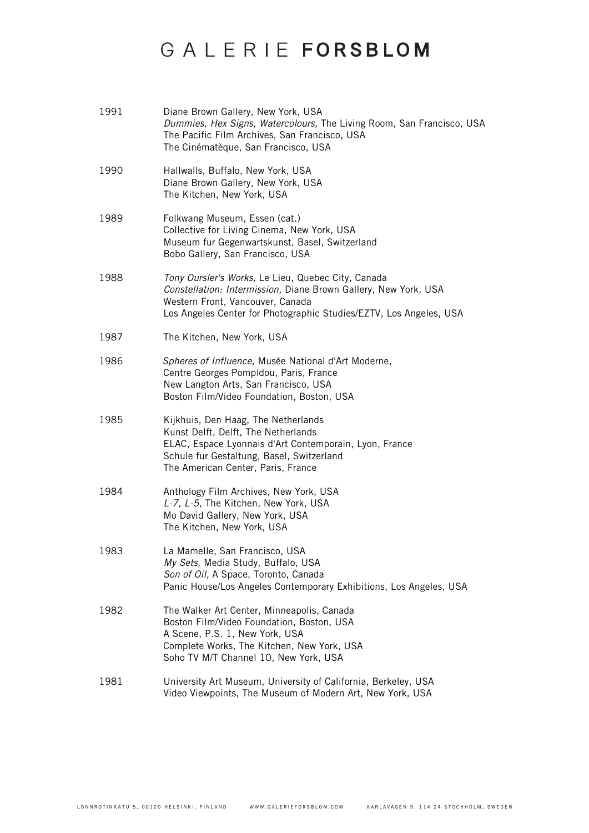| 1991 | Diane Brown Gallery, New York, USA<br>Dummies, Hex Signs, Watercolours, The Living Room, San Francisco, USA<br>The Pacific Film Archives, San Francisco, USA<br>The Cinématèque, San Francisco, USA                             |
|------|---------------------------------------------------------------------------------------------------------------------------------------------------------------------------------------------------------------------------------|
| 1990 | Hallwalls, Buffalo, New York, USA<br>Diane Brown Gallery, New York, USA<br>The Kitchen, New York, USA                                                                                                                           |
| 1989 | Folkwang Museum, Essen (cat.)<br>Collective for Living Cinema, New York, USA<br>Museum fur Gegenwartskunst, Basel, Switzerland<br>Bobo Gallery, San Francisco, USA                                                              |
| 1988 | Tony Oursler's Works, Le Lieu, Quebec City, Canada<br>Constellation: Intermission, Diane Brown Gallery, New York, USA<br>Western Front, Vancouver, Canada<br>Los Angeles Center for Photographic Studies/EZTV, Los Angeles, USA |
| 1987 | The Kitchen, New York, USA                                                                                                                                                                                                      |
| 1986 | Spheres of Influence, Musée National d'Art Moderne,<br>Centre Georges Pompidou, Paris, France<br>New Langton Arts, San Francisco, USA<br>Boston Film/Video Foundation, Boston, USA                                              |
| 1985 | Kijkhuis, Den Haag, The Netherlands<br>Kunst Delft, Delft, The Netherlands<br>ELAC, Espace Lyonnais d'Art Contemporain, Lyon, France<br>Schule fur Gestaltung, Basel, Switzerland<br>The American Center, Paris, France         |
| 1984 | Anthology Film Archives, New York, USA<br>L-7, L-5, The Kitchen, New York, USA<br>Mo David Gallery, New York, USA<br>The Kitchen, New York, USA                                                                                 |
| 1983 | La Mamelle, San Francisco, USA<br>My Sets, Media Study, Buffalo, USA<br>Son of Oil, A Space, Toronto, Canada<br>Panic House/Los Angeles Contemporary Exhibitions, Los Angeles, USA                                              |
| 1982 | The Walker Art Center, Minneapolis, Canada<br>Boston Film/Video Foundation, Boston, USA<br>A Scene, P.S. 1, New York, USA<br>Complete Works, The Kitchen, New York, USA<br>Soho TV M/T Channel 10, New York, USA                |
| 1981 | University Art Museum, University of California, Berkeley, USA<br>Video Viewpoints, The Museum of Modern Art, New York, USA                                                                                                     |